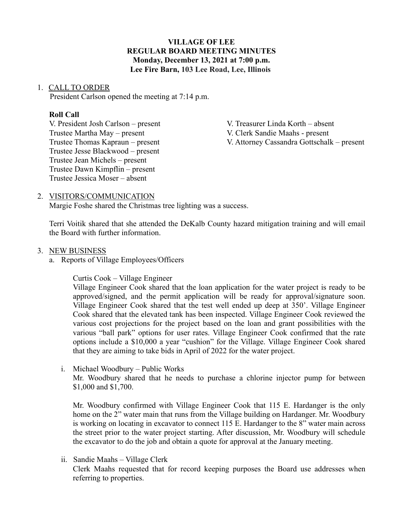## **VILLAGE OF LEE REGULAR BOARD MEETING MINUTES Monday, December 13, 2021 at 7:00 p.m. Lee Fire Barn, 103 Lee Road, Lee, Illinois**

#### 1. CALL TO ORDER

President Carlson opened the meeting at 7:14 p.m.

## **Roll Call**

V. President Josh Carlson – present V. Treasurer Linda Korth – absent Trustee Martha May – present V. Clerk Sandie Maahs - present Trustee Jesse Blackwood – present Trustee Jean Michels – present Trustee Dawn Kimpflin – present Trustee Jessica Moser – absent

Trustee Thomas Kapraun – present V. Attorney Cassandra Gottschalk – present

### 2. VISITORS/COMMUNICATION

Margie Foshe shared the Christmas tree lighting was a success.

Terri Voitik shared that she attended the DeKalb County hazard mitigation training and will email the Board with further information.

### 3. NEW BUSINESS

a. Reports of Village Employees/Officers

Curtis Cook – Village Engineer

Village Engineer Cook shared that the loan application for the water project is ready to be approved/signed, and the permit application will be ready for approval/signature soon. Village Engineer Cook shared that the test well ended up deep at 350'. Village Engineer Cook shared that the elevated tank has been inspected. Village Engineer Cook reviewed the various cost projections for the project based on the loan and grant possibilities with the various "ball park" options for user rates. Village Engineer Cook confirmed that the rate options include a \$10,000 a year "cushion" for the Village. Village Engineer Cook shared that they are aiming to take bids in April of 2022 for the water project.

i. Michael Woodbury – Public Works

Mr. Woodbury shared that he needs to purchase a chlorine injector pump for between \$1,000 and \$1,700.

Mr. Woodbury confirmed with Village Engineer Cook that 115 E. Hardanger is the only home on the 2" water main that runs from the Village building on Hardanger. Mr. Woodbury is working on locating in excavator to connect 115 E. Hardanger to the 8" water main across the street prior to the water project starting. After discussion, Mr. Woodbury will schedule the excavator to do the job and obtain a quote for approval at the January meeting.

ii. Sandie Maahs – Village Clerk

Clerk Maahs requested that for record keeping purposes the Board use addresses when referring to properties.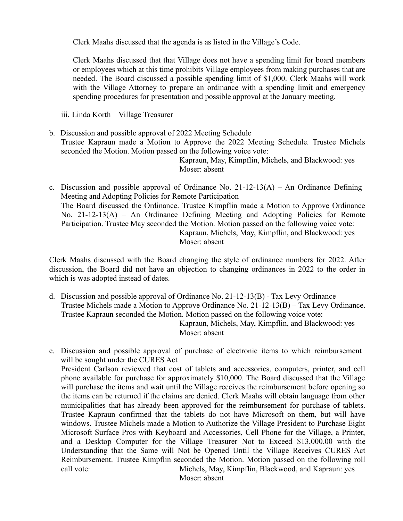Clerk Maahs discussed that the agenda is as listed in the Village's Code.

Clerk Maahs discussed that that Village does not have a spending limit for board members or employees which at this time prohibits Village employees from making purchases that are needed. The Board discussed a possible spending limit of \$1,000. Clerk Maahs will work with the Village Attorney to prepare an ordinance with a spending limit and emergency spending procedures for presentation and possible approval at the January meeting.

iii. Linda Korth – Village Treasurer

b. Discussion and possible approval of 2022 Meeting Schedule Trustee Kapraun made a Motion to Approve the 2022 Meeting Schedule. Trustee Michels seconded the Motion. Motion passed on the following voice vote:

Kapraun, May, Kimpflin, Michels, and Blackwood: yes Moser: absent

c. Discussion and possible approval of Ordinance No.  $21-12-13(A)$  – An Ordinance Defining Meeting and Adopting Policies for Remote Participation The Board discussed the Ordinance. Trustee Kimpflin made a Motion to Approve Ordinance No. 21-12-13(A) – An Ordinance Defining Meeting and Adopting Policies for Remote Participation. Trustee May seconded the Motion. Motion passed on the following voice vote: Kapraun, Michels, May, Kimpflin, and Blackwood: yes Moser: absent

Clerk Maahs discussed with the Board changing the style of ordinance numbers for 2022. After discussion, the Board did not have an objection to changing ordinances in 2022 to the order in which is was adopted instead of dates.

- d. Discussion and possible approval of Ordinance No. 21-12-13(B) Tax Levy Ordinance Trustee Michels made a Motion to Approve Ordinance No. 21-12-13(B) – Tax Levy Ordinance. Trustee Kapraun seconded the Motion. Motion passed on the following voice vote: Kapraun, Michels, May, Kimpflin, and Blackwood: yes Moser: absent
- e. Discussion and possible approval of purchase of electronic items to which reimbursement will be sought under the CURES Act President Carlson reviewed that cost of tablets and accessories, computers, printer, and cell phone available for purchase for approximately \$10,000. The Board discussed that the Village will purchase the items and wait until the Village receives the reimbursement before opening so the items can be returned if the claims are denied. Clerk Maahs will obtain language from other municipalities that has already been approved for the reimbursement for purchase of tablets. Trustee Kapraun confirmed that the tablets do not have Microsoft on them, but will have windows. Trustee Michels made a Motion to Authorize the Village President to Purchase Eight Microsoft Surface Pros with Keyboard and Accessories, Cell Phone for the Village, a Printer, and a Desktop Computer for the Village Treasurer Not to Exceed \$13,000.00 with the Understanding that the Same will Not be Opened Until the Village Receives CURES Act Reimbursement. Trustee Kimpflin seconded the Motion. Motion passed on the following roll call vote: Michels, May, Kimpflin, Blackwood, and Kapraun: yes

Moser: absent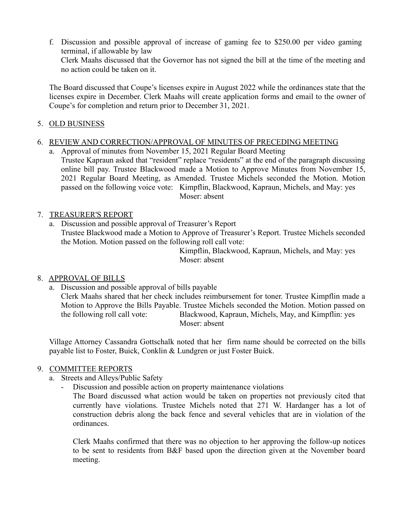f. Discussion and possible approval of increase of gaming fee to \$250.00 per video gaming terminal, if allowable by law Clerk Maahs discussed that the Governor has not signed the bill at the time of the meeting and no action could be taken on it.

The Board discussed that Coupe's licenses expire in August 2022 while the ordinances state that the licenses expire in December. Clerk Maahs will create application forms and email to the owner of Coupe's for completion and return prior to December 31, 2021.

# 5. OLD BUSINESS

# 6. REVIEW AND CORRECTION/APPROVAL OF MINUTES OF PRECEDING MEETING

a. Approval of minutes from November 15, 2021 Regular Board Meeting Trustee Kapraun asked that "resident" replace "residents" at the end of the paragraph discussing online bill pay. Trustee Blackwood made a Motion to Approve Minutes from November 15, 2021 Regular Board Meeting, as Amended. Trustee Michels seconded the Motion. Motion passed on the following voice vote: Kimpflin, Blackwood, Kapraun, Michels, and May: yes Moser: absent

# 7. TREASURER'S REPORT

a. Discussion and possible approval of Treasurer's Report Trustee Blackwood made a Motion to Approve of Treasurer's Report. Trustee Michels seconded the Motion. Motion passed on the following roll call vote:

Kimpflin, Blackwood, Kapraun, Michels, and May: yes Moser: absent

# 8. APPROVAL OF BILLS

a. Discussion and possible approval of bills payable

Clerk Maahs shared that her check includes reimbursement for toner. Trustee Kimpflin made a Motion to Approve the Bills Payable. Trustee Michels seconded the Motion. Motion passed on the following roll call vote: Blackwood, Kapraun, Michels, May, and Kimpflin: yes Moser: absent

Village Attorney Cassandra Gottschalk noted that her firm name should be corrected on the bills payable list to Foster, Buick, Conklin & Lundgren or just Foster Buick.

# 9. COMMITTEE REPORTS

- a. Streets and Alleys/Public Safety
	- Discussion and possible action on property maintenance violations

The Board discussed what action would be taken on properties not previously cited that currently have violations. Trustee Michels noted that 271 W. Hardanger has a lot of construction debris along the back fence and several vehicles that are in violation of the ordinances.

Clerk Maahs confirmed that there was no objection to her approving the follow-up notices to be sent to residents from B&F based upon the direction given at the November board meeting.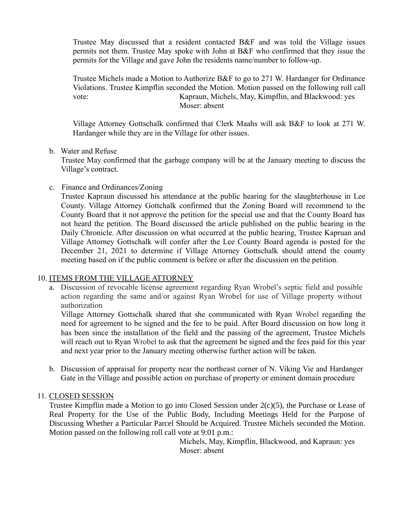Trustee May discussed that a resident contacted B&F and was told the Village issues permits not them. Trustee May spoke with John at B&F who confirmed that they issue the permits for the Village and gave John the residents name/number to follow-up.

Trustee Michels made a Motion to Authorize B&F to go to 271 W. Hardanger for Ordinance Violations. Trustee Kimpflin seconded the Motion. Motion passed on the following roll call vote: Kapraun, Michels, May, Kimpflin, and Blackwood: yes Moser: absent

Village Attorney Gottschalk confirmed that Clerk Maahs will ask B&F to look at 271 W. Hardanger while they are in the Village for other issues.

## b. Water and Refuse

Trustee May confirmed that the garbage company will be at the January meeting to discuss the Village's contract.

## c. Finance and Ordinances/Zoning

Trustee Kapraun discussed his attendance at the public hearing for the slaughterhouse in Lee County. Village Attorney Gottchalk confirmed that the Zoning Board will recommend to the County Board that it not approve the petition for the special use and that the County Board has not heard the petition. The Board discussed the article published on the public hearing in the Daily Chronicle. After discussion on what occurred at the public hearing, Trustee Kapruan and Village Attorney Gottschalk will confer after the Lee County Board agenda is posted for the December 21, 2021 to determine if Village Attorney Gottschalk should attend the county meeting based on if the public comment is before or after the discussion on the petition.

## 10. ITEMS FROM THE VILLAGE ATTORNEY

a. Discussion of revocable license agreement regarding Ryan Wrobel's septic field and possible action regarding the same and/or against Ryan Wrobel for use of Village property without authorization

Village Attorney Gottschalk shared that she communicated with Ryan Wrobel regarding the need for agreement to be signed and the fee to be paid. After Board discussion on how long it has been since the installation of the field and the passing of the agreement, Trustee Michels will reach out to Ryan Wrobel to ask that the agreement be signed and the fees paid for this year and next year prior to the January meeting otherwise further action will be taken.

b. Discussion of appraisal for property near the northeast corner of N. Viking Vie and Hardanger Gate in the Village and possible action on purchase of property or eminent domain procedure

# 11. CLOSED SESSION

Trustee Kimpflin made a Motion to go into Closed Session under 2(c)(5), the Purchase or Lease of Real Property for the Use of the Public Body, Including Meetings Held for the Purpose of Discussing Whether a Particular Parcel Should be Acquired. Trustee Michels seconded the Motion. Motion passed on the following roll call vote at 9:01 p.m.:

> Michels, May, Kimpflin, Blackwood, and Kapraun: yes Moser: absent